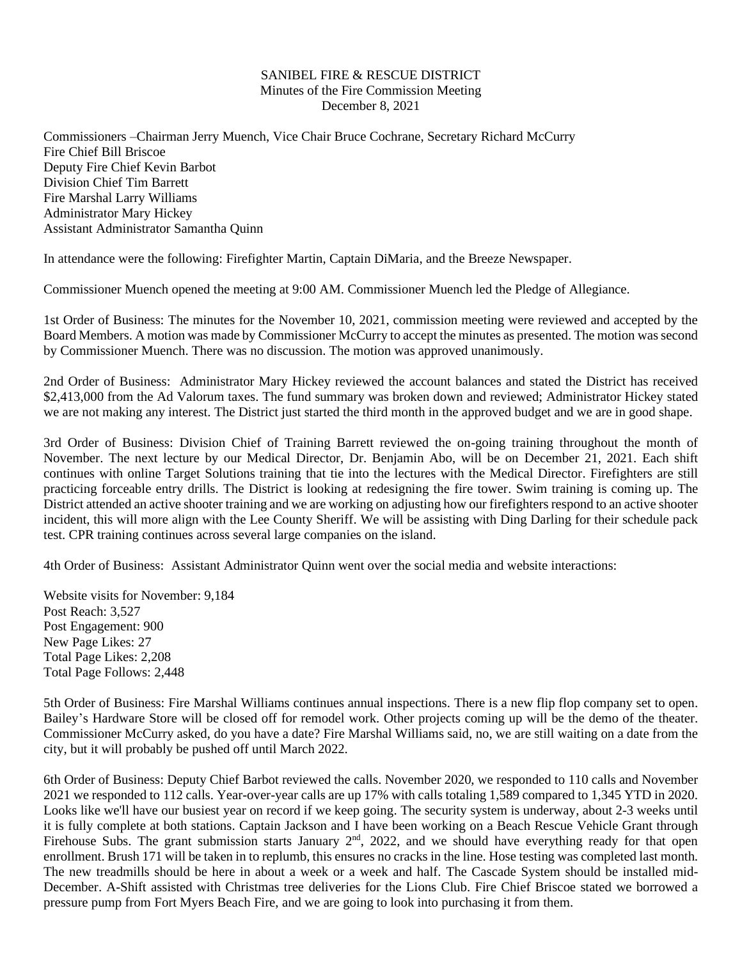## SANIBEL FIRE & RESCUE DISTRICT Minutes of the Fire Commission Meeting December 8, 2021

Commissioners –Chairman Jerry Muench, Vice Chair Bruce Cochrane, Secretary Richard McCurry Fire Chief Bill Briscoe Deputy Fire Chief Kevin Barbot Division Chief Tim Barrett Fire Marshal Larry Williams Administrator Mary Hickey Assistant Administrator Samantha Quinn

In attendance were the following: Firefighter Martin, Captain DiMaria, and the Breeze Newspaper.

Commissioner Muench opened the meeting at 9:00 AM. Commissioner Muench led the Pledge of Allegiance.

1st Order of Business: The minutes for the November 10, 2021, commission meeting were reviewed and accepted by the Board Members. A motion was made by Commissioner McCurry to accept the minutes as presented. The motion was second by Commissioner Muench. There was no discussion. The motion was approved unanimously.

2nd Order of Business: Administrator Mary Hickey reviewed the account balances and stated the District has received \$2,413,000 from the Ad Valorum taxes. The fund summary was broken down and reviewed; Administrator Hickey stated we are not making any interest. The District just started the third month in the approved budget and we are in good shape.

3rd Order of Business: Division Chief of Training Barrett reviewed the on-going training throughout the month of November. The next lecture by our Medical Director, Dr. Benjamin Abo, will be on December 21, 2021. Each shift continues with online Target Solutions training that tie into the lectures with the Medical Director. Firefighters are still practicing forceable entry drills. The District is looking at redesigning the fire tower. Swim training is coming up. The District attended an active shooter training and we are working on adjusting how our firefighters respond to an active shooter incident, this will more align with the Lee County Sheriff. We will be assisting with Ding Darling for their schedule pack test. CPR training continues across several large companies on the island.

4th Order of Business: Assistant Administrator Quinn went over the social media and website interactions:

Website visits for November: 9,184 Post Reach: 3,527 Post Engagement: 900 New Page Likes: 27 Total Page Likes: 2,208 Total Page Follows: 2,448

5th Order of Business: Fire Marshal Williams continues annual inspections. There is a new flip flop company set to open. Bailey's Hardware Store will be closed off for remodel work. Other projects coming up will be the demo of the theater. Commissioner McCurry asked, do you have a date? Fire Marshal Williams said, no, we are still waiting on a date from the city, but it will probably be pushed off until March 2022.

6th Order of Business: Deputy Chief Barbot reviewed the calls. November 2020, we responded to 110 calls and November 2021 we responded to 112 calls. Year-over-year calls are up 17% with calls totaling 1,589 compared to 1,345 YTD in 2020. Looks like we'll have our busiest year on record if we keep going. The security system is underway, about 2-3 weeks until it is fully complete at both stations. Captain Jackson and I have been working on a Beach Rescue Vehicle Grant through Firehouse Subs. The grant submission starts January  $2<sup>nd</sup>$ , 2022, and we should have everything ready for that open enrollment. Brush 171 will be taken in to replumb, this ensures no cracks in the line. Hose testing was completed last month. The new treadmills should be here in about a week or a week and half. The Cascade System should be installed mid-December. A-Shift assisted with Christmas tree deliveries for the Lions Club. Fire Chief Briscoe stated we borrowed a pressure pump from Fort Myers Beach Fire, and we are going to look into purchasing it from them.